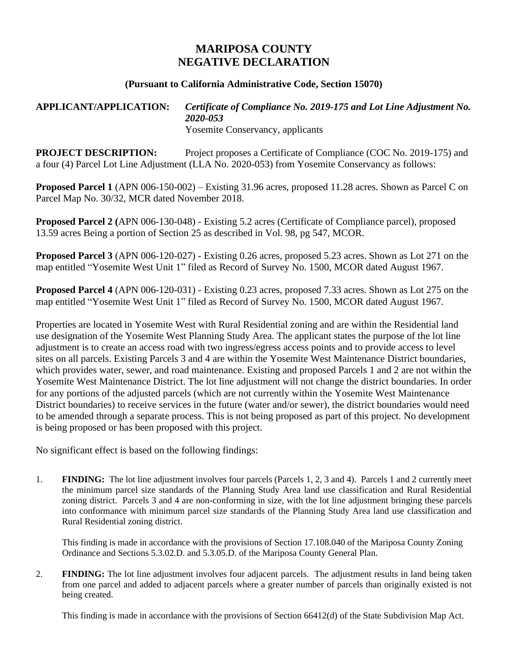## **MARIPOSA COUNTY NEGATIVE DECLARATION**

## **(Pursuant to California Administrative Code, Section 15070)**

## **APPLICANT/APPLICATION:** *Certificate of Compliance No. 2019-175 and Lot Line Adjustment No. 2020-053* Yosemite Conservancy, applicants

**PROJECT DESCRIPTION:** Project proposes a Certificate of Compliance (COC No. 2019-175) and a four (4) Parcel Lot Line Adjustment (LLA No. 2020-053) from Yosemite Conservancy as follows:

**Proposed Parcel 1** (APN 006-150-002) – Existing 31.96 acres, proposed 11.28 acres. Shown as Parcel C on Parcel Map No. 30/32, MCR dated November 2018.

**Proposed Parcel 2 (**APN 006-130-048) - Existing 5.2 acres (Certificate of Compliance parcel), proposed 13.59 acres Being a portion of Section 25 as described in Vol. 98, pg 547, MCOR.

**Proposed Parcel 3** (APN 006-120-027) - Existing 0.26 acres, proposed 5.23 acres. Shown as Lot 271 on the map entitled "Yosemite West Unit 1" filed as Record of Survey No. 1500, MCOR dated August 1967.

**Proposed Parcel 4** (APN 006-120-031) - Existing 0.23 acres, proposed 7.33 acres. Shown as Lot 275 on the map entitled "Yosemite West Unit 1" filed as Record of Survey No. 1500, MCOR dated August 1967.

Properties are located in Yosemite West with Rural Residential zoning and are within the Residential land use designation of the Yosemite West Planning Study Area. The applicant states the purpose of the lot line adjustment is to create an access road with two ingress/egress access points and to provide access to level sites on all parcels. Existing Parcels 3 and 4 are within the Yosemite West Maintenance District boundaries, which provides water, sewer, and road maintenance. Existing and proposed Parcels 1 and 2 are not within the Yosemite West Maintenance District. The lot line adjustment will not change the district boundaries. In order for any portions of the adjusted parcels (which are not currently within the Yosemite West Maintenance District boundaries) to receive services in the future (water and/or sewer), the district boundaries would need to be amended through a separate process. This is not being proposed as part of this project. No development is being proposed or has been proposed with this project.

No significant effect is based on the following findings:

1. **FINDING:** The lot line adjustment involves four parcels (Parcels 1, 2, 3 and 4). Parcels 1 and 2 currently meet the minimum parcel size standards of the Planning Study Area land use classification and Rural Residential zoning district. Parcels 3 and 4 are non-conforming in size, with the lot line adjustment bringing these parcels into conformance with minimum parcel size standards of the Planning Study Area land use classification and Rural Residential zoning district.

This finding is made in accordance with the provisions of Section 17.108.040 of the Mariposa County Zoning Ordinance and Sections 5.3.02.D. and 5.3.05.D. of the Mariposa County General Plan.

2. **FINDING:** The lot line adjustment involves four adjacent parcels. The adjustment results in land being taken from one parcel and added to adjacent parcels where a greater number of parcels than originally existed is not being created.

This finding is made in accordance with the provisions of Section 66412(d) of the State Subdivision Map Act.